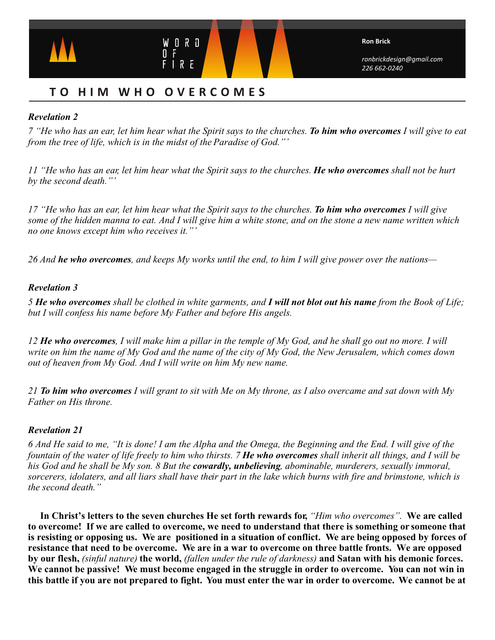

# **T O HIM WHO OVERCOMES**

## *Revelation 2*

*7 "He who has an ear, let him hear what the Spirit says to the churches. To him who overcomes I will give to eat from the tree of life, which is in the midst of the Paradise of God."'*

*11 "He who has an ear, let him hear what the Spirit says to the churches. He who overcomes shall not be hurt by the second death."'*

*17 "He who has an ear, let him hear what the Spirit says to the churches. To him who overcomes I will give some of the hidden manna to eat. And I will give him a white stone, and on the stone a new name written which no one knows except him who receives it."'*

*26 And he who overcomes, and keeps My works until the end, to him I will give power over the nations—* 

## *Revelation 3*

*5 He who overcomes shall be clothed in white garments, and I will not blot out his name from the Book of Life; but I will confess his name before My Father and before His angels.* 

*12 He who overcomes, I will make him a pillar in the temple of My God, and he shall go out no more. I will write on him the name of My God and the name of the city of My God, the New Jerusalem, which comes down out of heaven from My God. And I will write on him My new name.* 

*21 To him who overcomes I will grant to sit with Me on My throne, as I also overcame and sat down with My Father on His throne.*

## *Revelation 21*

*6 And He said to me, "It is done! I am the Alpha and the Omega, the Beginning and the End. I will give of the fountain of the water of life freely to him who thirsts. 7 He who overcomes shall inherit all things, and I will be his God and he shall be My son. 8 But the cowardly, unbelieving, abominable, murderers, sexually immoral, sorcerers, idolaters, and all liars shall have their part in the lake which burns with fire and brimstone, which is the second death."*

**In Christ's letters to the seven churches He set forth rewards for,** *"Him who overcomes"*. **We are called to overcome! If we are called to overcome, we need to understand that there is something or someone that is resisting or opposing us. We are positioned in a situation of conflict. We are being opposed by forces of resistance that need to be overcome. We are in a war to overcome on three battle fronts. We are opposed by our flesh,** *(sinful nature)* **the world,** *(fallen under the rule of darkness)* **and Satan with his demonic forces. We cannot be passive! We must become engaged in the struggle in order to overcome. You can not win in this battle if you are not prepared to fight. You must enter the war in order to overcome. We cannot be at**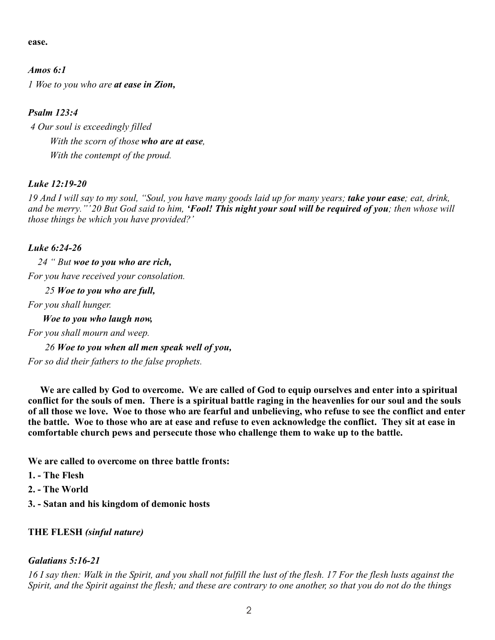**ease.** 

*Amos 6:1 1 Woe to you who are at ease in Zion,*

## *Psalm 123:4*

 *4 Our soul is exceedingly filled With the scorn of those who are at ease, With the contempt of the proud.*

## *Luke 12:19-20*

*19 And I will say to my soul, "Soul, you have many goods laid up for many years; take your ease; eat, drink, and be merry."' 20 But God said to him, 'Fool! This night your soul will be required of you; then whose will those things be which you have provided?'*

## *Luke 6:24-26*

 *24 " But woe to you who are rich, For you have received your consolation.*

 *25 Woe to you who are full,*

*For you shall hunger.*

 *Woe to you who laugh now, For you shall mourn and weep. 26 Woe to you when all men speak well of you, For so did their fathers to the false prophets.*

**We are called by God to overcome. We are called of God to equip ourselves and enter into a spiritual conflict for the souls of men. There is a spiritual battle raging in the heavenlies for our soul and the souls of all those we love. Woe to those who are fearful and unbelieving, who refuse to see the conflict and enter the battle. Woe to those who are at ease and refuse to even acknowledge the conflict. They sit at ease in comfortable church pews and persecute those who challenge them to wake up to the battle.**

**We are called to overcome on three battle fronts:**

- **1. The Flesh**
- **2. The World**
- **3. Satan and his kingdom of demonic hosts**

## **THE FLESH** *(sinful nature)*

#### *Galatians 5:16-21*

*16 I say then: Walk in the Spirit, and you shall not fulfill the lust of the flesh. 17 For the flesh lusts against the Spirit, and the Spirit against the flesh; and these are contrary to one another, so that you do not do the things*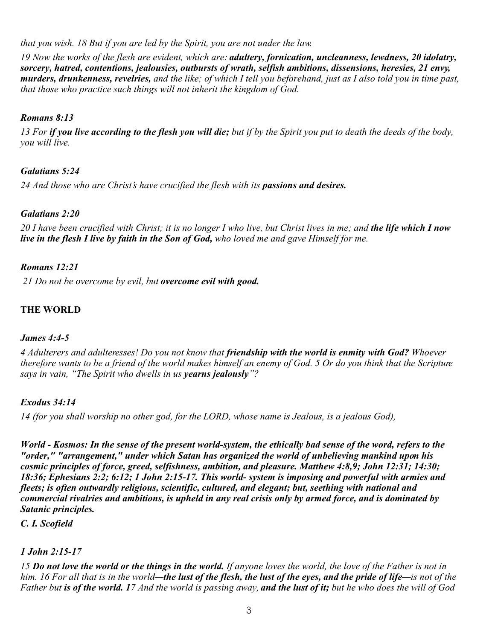*that you wish. 18 But if you are led by the Spirit, you are not under the law.*

*19 Now the works of the flesh are evident, which are: adultery, fornication, uncleanness, lewdness, 20 idolatry, sorcery, hatred, contentions, jealousies, outbursts of wrath, selfish ambitions, dissensions, heresies, 21 envy, murders, drunkenness, revelries, and the like; of which I tell you beforehand, just as I also told you in time past, that those who practice such things will not inherit the kingdom of God.* 

## *Romans 8:13*

*13 For if you live according to the flesh you will die; but if by the Spirit you put to death the deeds of the body, you will live.*

# *Galatians 5:24*

24 And those who are Christ's have crucified the flesh with its passions and desires.

## *Galatians 2:20*

*20 I have been crucified with Christ; it is no longer I who live, but Christ lives in me; and the life which I now live in the flesh I live by faith in the Son of God, who loved me and gave Himself for me.*

## *Romans 12:21*

 *21 Do not be overcome by evil, but overcome evil with good.*

# **THE WORLD**

## *James 4:4-5*

*4 Adulterers and adulteresses! Do you not know that friendship with the world is enmity with God? Whoever therefore wants to be a friend of the world makes himself an enemy of God. 5 Or do you think that the Scripture says in vain, "The Spirit who dwells in us yearns jealously"?*

## *Exodus 34:14*

*14 (for you shall worship no other god, for the LORD, whose name is Jealous, is a jealous God),*

*World - Kosmos: In the sense of the present world-system, the ethically bad sense of the word, refers to the "order," "arrangement," under which Satan has organized the world of unbelieving mankind upon his cosmic principles of force, greed, selfishness, ambition, and pleasure. Matthew 4:8,9; John 12:31; 14:30; 18:36; Ephesians 2:2; 6:12; 1 John 2:15-17. This world- system is imposing and powerful with armies and fleets; is often outwardly religious, scientific, cultured, and elegant; but, seething with national and commercial rivalries and ambitions, is upheld in any real crisis only by armed force, and is dominated by Satanic principles.* 

*C. I. Scofield*

# *1 John 2:15-17*

*15 Do not love the world or the things in the world. If anyone loves the world, the love of the Father is not in him. 16 For all that is in the world—the lust of the flesh, the lust of the eyes, and the pride of life—is not of the Father but is of the world. 17 And the world is passing away, and the lust of it; but he who does the will of God*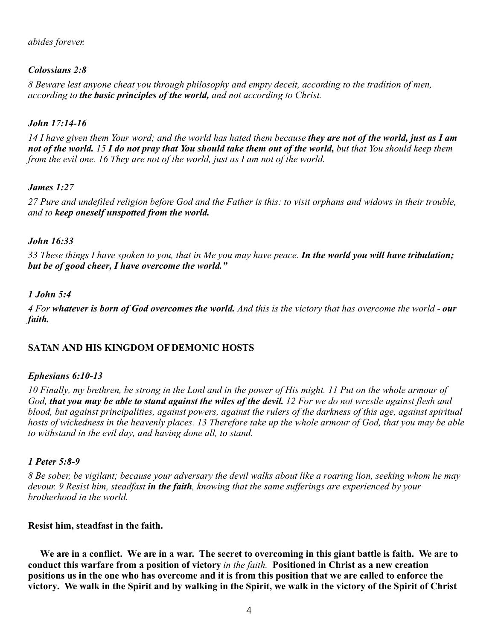#### *abides forever.*

## *Colossians 2:8*

*8 Beware lest anyone cheat you through philosophy and empty deceit, according to the tradition of men, according to the basic principles of the world, and not according to Christ.*

#### *John 17:14-16*

*14 I have given them Your word; and the world has hated them because they are not of the world, just as I am not of the world. 15 I do not pray that You should take them out of the world, but that You should keep them from the evil one. 16 They are not of the world, just as I am not of the world.*

#### *James 1:27*

*27 Pure and undefiled religion before God and the Father is this: to visit orphans and widows in their trouble, and to keep oneself unspotted from the world.*

#### *John 16:33*

*33 These things I have spoken to you, that in Me you may have peace. In the world you will have tribulation; but be of good cheer, I have overcome the world."*

#### *1 John 5:4*

*4 For whatever is born of God overcomes the world. And this is the victory that has overcome the world - our faith.*

## **SATAN AND HIS KINGDOM OF DEMONIC HOSTS**

#### *Ephesians 6:10-13*

*10 Finally, my brethren, be strong in the Lord and in the power of His might. 11 Put on the whole armour of God, that you may be able to stand against the wiles of the devil. 12 For we do not wrestle against flesh and blood, but against principalities, against powers, against the rulers of the darkness of this age, against spiritual hosts of wickedness in the heavenly places. 13 Therefore take up the whole armour of God, that you may be able to withstand in the evil day, and having done all, to stand.* 

#### *1 Peter 5:8-9*

*8 Be sober, be vigilant; because your adversary the devil walks about like a roaring lion, seeking whom he may devour. 9 Resist him, steadfast in the faith, knowing that the same sufferings are experienced by your brotherhood in the world.*

#### **Resist him, steadfast in the faith.**

 **We are in a conflict. We are in a war. The secret to overcoming in this giant battle is faith. We are to conduct this warfare from a position of victory** *in the faith.* **Positioned in Christ as a new creation positions us in the one who has overcome and it is from this position that we are called to enforce the victory. We walk in the Spirit and by walking in the Spirit, we walk in the victory of the Spirit of Christ**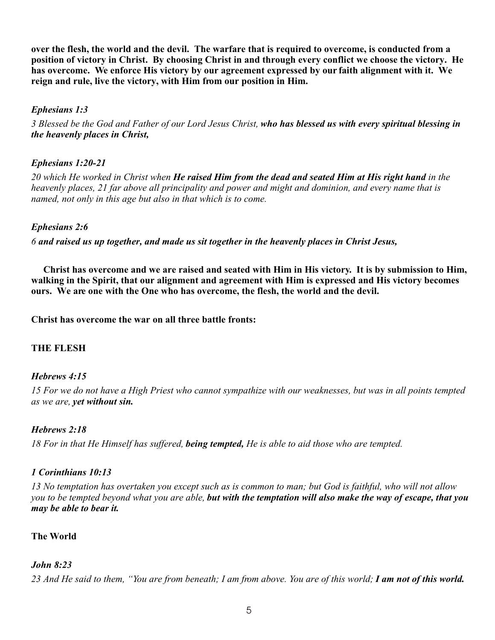**over the flesh, the world and the devil. The warfare that is required to overcome, is conducted from a position of victory in Christ. By choosing Christ in and through every conflict we choose the victory. He has overcome. We enforce His victory by our agreement expressed by our faith alignment with it. We reign and rule, live the victory, with Him from our position in Him.**

## *Ephesians 1:3*

*3 Blessed be the God and Father of our Lord Jesus Christ, who has blessed us with every spiritual blessing in the heavenly places in Christ,*

## *Ephesians 1:20-21*

*20 which He worked in Christ when He raised Him from the dead and seated Him at His right hand in the heavenly places, 21 far above all principality and power and might and dominion, and every name that is named, not only in this age but also in that which is to come.*

#### *Ephesians 2:6*

*6 and raised us up together, and made us sit together in the heavenly places in Christ Jesus,*

 **Christ has overcome and we are raised and seated with Him in His victory. It is by submission to Him, walking in the Spirit, that our alignment and agreement with Him is expressed and His victory becomes ours. We are one with the One who has overcome, the flesh, the world and the devil.**

**Christ has overcome the war on all three battle fronts:**

## **THE FLESH**

#### *Hebrews 4:15*

*15 For we do not have a High Priest who cannot sympathize with our weaknesses, but was in all points tempted as we are, yet without sin.*

#### *Hebrews 2:18*

*18 For in that He Himself has suffered, being tempted, He is able to aid those who are tempted.*

## *1 Corinthians 10:13*

*13 No temptation has overtaken you except such as is common to man; but God is faithful, who will not allow you to be tempted beyond what you are able, but with the temptation will also make the way of escape, that you may be able to bear it.*

## **The World**

## *John 8:23*

*23 And He said to them, "You are from beneath; I am from above. You are of this world; I am not of this world.*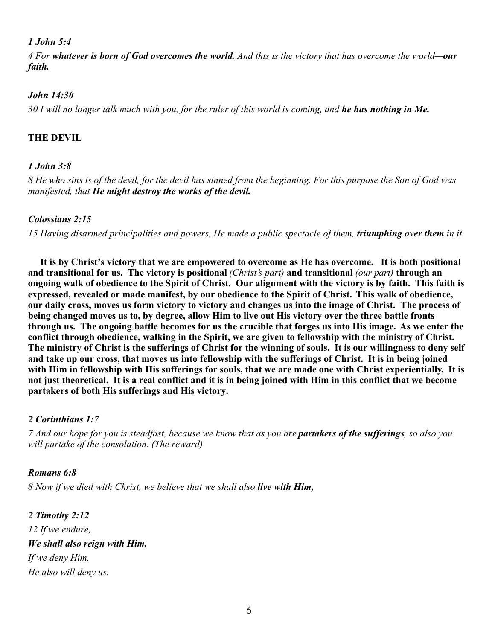## *1 John 5:4*

*4 For whatever is born of God overcomes the world. And this is the victory that has overcome the world—our faith.*

#### *John 14:30*

*30 I will no longer talk much with you, for the ruler of this world is coming, and he has nothing in Me.*

## **THE DEVIL**

## *1 John 3:8*

*8 He who sins is of the devil, for the devil has sinned from the beginning. For this purpose the Son of God was manifested, that He might destroy the works of the devil.*

#### *Colossians 2:15*

*15 Having disarmed principalities and powers, He made a public spectacle of them, triumphing over them in it.*

**It is by Christ's victory that we are empowered to overcome as He has overcome. It is both positional and transitional for us. The victory is positional** *(Christ's part)* **and transitional** *(our part)* **through an ongoing walk of obedience to the Spirit of Christ. Our alignment with the victory is by faith. This faith is expressed, revealed or made manifest, by our obedience to the Spirit of Christ. This walk of obedience, our daily cross, moves us form victory to victory and changes us into the image of Christ. The process of being changed moves us to, by degree, allow Him to live out His victory over the three battle fronts through us. The ongoing battle becomes for us the crucible that forges us into His image. As we enter the conflict through obedience, walking in the Spirit, we are given to fellowship with the ministry of Christ. The ministry of Christ is the sufferings of Christ for the winning of souls. It is our willingness to deny self and take up our cross, that moves us into fellowship with the sufferings of Christ. It is in being joined with Him in fellowship with His sufferings for souls, that we are made one with Christ experientially. It is not just theoretical. It is a real conflict and it is in being joined with Him in this conflict that we become partakers of both His sufferings and His victory.** 

#### *2 Corinthians 1:7*

*7 And our hope for you is steadfast, because we know that as you are partakers of the sufferings, so also you will partake of the consolation. (The reward)*

#### *Romans 6:8*

*8 Now if we died with Christ, we believe that we shall also live with Him,*

*2 Timothy 2:12 12 If we endure, We shall also reign with Him. If we deny Him, He also will deny us.*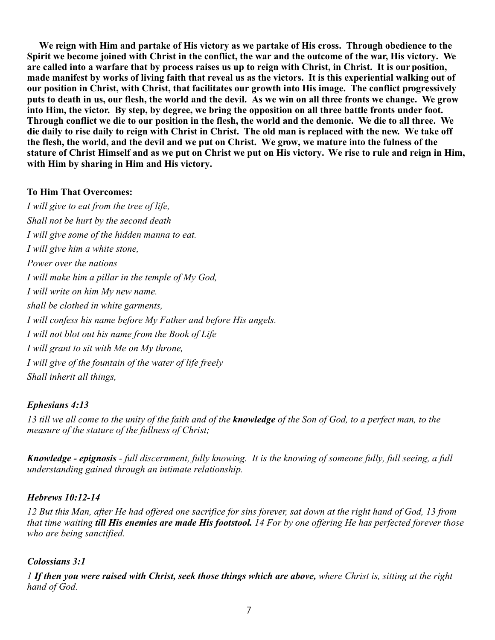**We reign with Him and partake of His victory as we partake of His cross. Through obedience to the Spirit we become joined with Christ in the conflict, the war and the outcome of the war, His victory. We are called into a warfare that by process raises us up to reign with Christ, in Christ. It is our position, made manifest by works of living faith that reveal us as the victors. It is this experiential walking out of our position in Christ, with Christ, that facilitates our growth into His image. The conflict progressively puts to death in us, our flesh, the world and the devil. As we win on all three fronts we change. We grow into Him, the victor. By step, by degree, we bring the opposition on all three battle fronts under foot. Through conflict we die to our position in the flesh, the world and the demonic. We die to all three. We die daily to rise daily to reign with Christ in Christ. The old man is replaced with the new. We take off the flesh, the world, and the devil and we put on Christ. We grow, we mature into the fulness of the stature of Christ Himself and as we put on Christ we put on His victory. We rise to rule and reign in Him, with Him by sharing in Him and His victory.**

## **To Him That Overcomes:**

*I will give to eat from the tree of life, Shall not be hurt by the second death I will give some of the hidden manna to eat. I will give him a white stone, Power over the nations I will make him a pillar in the temple of My God, I will write on him My new name. shall be clothed in white garments, I will confess his name before My Father and before His angels. I will not blot out his name from the Book of Life I will grant to sit with Me on My throne, I will give of the fountain of the water of life freely Shall inherit all things,*

## *Ephesians 4:13*

*13 till we all come to the unity of the faith and of the knowledge of the Son of God, to a perfect man, to the measure of the stature of the fullness of Christ;*

*Knowledge - epignosis - full discernment, fully knowing. It is the knowing of someone fully, full seeing, a full understanding gained through an intimate relationship.*

## *Hebrews 10:12-14*

*12 But this Man, after He had offered one sacrifice for sins forever, sat down at the right hand of God, 13 from that time waiting till His enemies are made His footstool. 14 For by one offering He has perfected forever those who are being sanctified.*

## *Colossians 3:1*

*1 If then you were raised with Christ, seek those things which are above, where Christ is, sitting at the right hand of God.*